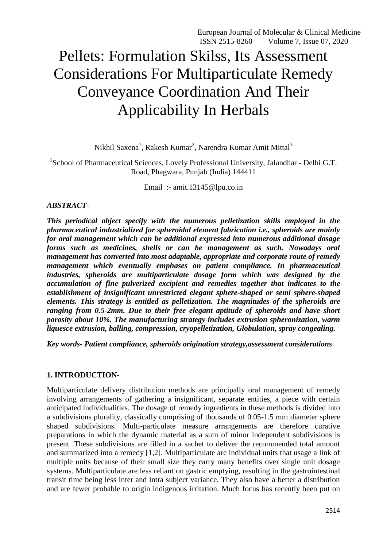# Pellets: Formulation Skilss, Its Assessment Considerations For Multiparticulate Remedy Conveyance Coordination And Their Applicability In Herbals

Nikhil Saxena<sup>1</sup>, Rakesh Kumar<sup>2</sup>, Narendra Kumar Amit Mittal<sup>3</sup>

<sup>1</sup>School of Pharmaceutical Sciences, Lovely Professional University, Jalandhar - Delhi G.T. Road, Phagwara, Punjab (India) 144411

Email :- [amit.13145@lpu.co.in](mailto:amit.13145@lpu.co.in)

# *ABSTRACT-*

*This periodical object specify with the numerous pelletization skills employed in the pharmaceutical industrialized for spheroidal element fabrication i.e., spheroids are mainly for oral management which can be additional expressed into numerous additional dosage forms such as medicines, shells or can be management as such. Nowadays oral management has converted into most adaptable, appropriate and corporate route of remedy management which eventually emphases on patient compliance. In pharmaceutical industries, spheroids are multiparticulate dosage form which was designed by the accumulation of fine pulverized excipient and remedies together that indicates to the establishment of insignificant unrestricted elegant sphere-shaped or semi sphere-shaped elements. This strategy is entitled as pelletization. The magnitudes of the spheroids are ranging from 0.5-2mm. Due to their free elegant aptitude of spheroids and have short porosity about 10%. The manufacturing strategy includes extrusion spheronization, warm liquesce extrusion, balling, compression, cryopelletization, Globulation, spray congealing.*

*Key words- Patient compliance, spheroids origination strategy,assessment considerations*

## **1. INTRODUCTION-**

Multiparticulate delivery distribution methods are principally oral management of remedy involving arrangements of gathering a insignificant, separate entities, a piece with certain anticipated individualities. The dosage of remedy ingredients in these methods is divided into a subdivisions plurality, classically comprising of thousands of 0.05-1.5 mm diameter sphere shaped subdivisions. Multi-particulate measure arrangements are therefore curative preparations in which the dynamic material as a sum of minor independent subdivisions is present .These subdivisions are filled in a sachet to deliver the recommended total amount and summarized into a remedy [1,2]. Multiparticulate are individual units that usage a link of multiple units because of their small size they carry many benefits over single unit dosage systems. Multiparticulate are less reliant on gastric emptying, resulting in the gastrointestinal transit time being less inter and intra subject variance. They also have a better a distribution and are fewer probable to origin indigenous irritation. Much focus has recently been put on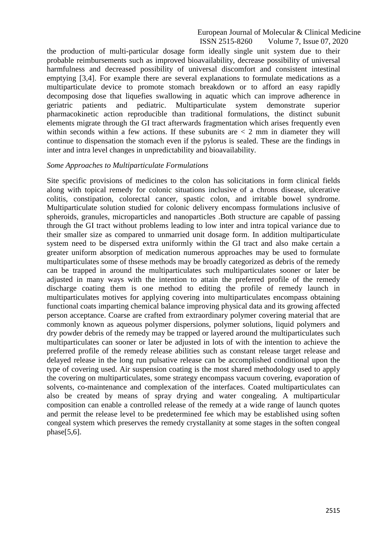#### European Journal of Molecular & Clinical Medicine ISSN 2515-8260 Volume 7, Issue 07, 2020

the production of multi-particular dosage form ideally single unit system due to their probable reimbursements such as improved bioavailability, decrease possibility of universal harmfulness and decreased possibility of universal discomfort and consistent intestinal emptying [3,4]. For example there are several explanations to formulate medications as a multiparticulate device to promote stomach breakdown or to afford an easy rapidly decomposing dose that liquefies swallowing in aquatic which can improve adherence in geriatric patients and pediatric. Multiparticulate system demonstrate superior pharmacokinetic action reproducible than traditional formulations, the distinct subunit elements migrate through the GI tract afterwards fragmentation which arises frequently even within seconds within a few actions. If these subunits are  $\lt 2$  mm in diameter they will continue to dispensation the stomach even if the pylorus is sealed. These are the findings in inter and intra level changes in unpredictability and bioavailability.

## *Some Approaches to Multiparticulate Formulations*

Site specific provisions of medicines to the colon has solicitations in form clinical fields along with topical remedy for colonic situations inclusive of a chrons disease, ulcerative colitis, constipation, colorectal cancer, spastic colon, and irritable bowel syndrome. Multiparticulate solution studied for colonic delivery encompass formulations inclusive of spheroids, granules, microparticles and nanoparticles .Both structure are capable of passing through the GI tract without problems leading to low inter and intra topical variance due to their smaller size as compared to unmarried unit dosage form. In addition multiparticulate system need to be dispersed extra uniformly within the GI tract and also make certain a greater uniform absorption of medication numerous approaches may be used to formulate multiparticulates some of thsese methods may be broadly categorized as debris of the remedy can be trapped in around the multiparticulates such multiparticulates sooner or later be adjusted in many ways with the intention to attain the preferred profile of the remedy discharge coating them is one method to editing the profile of remedy launch in multiparticulates motives for applying covering into multiparticulates encompass obtaining functional coats imparting chemical balance improving physical data and its growing affected person acceptance. Coarse are crafted from extraordinary polymer covering material that are commonly known as aqueous polymer dispersions, polymer solutions, liquid polymers and dry powder debris of the remedy may be trapped or layered around the multiparticulates such multiparticulates can sooner or later be adjusted in lots of with the intention to achieve the preferred profile of the remedy release abilities such as constant release target release and delayed release in the long run pulsative release can be accomplished conditional upon the type of covering used. Air suspension coating is the most shared methodology used to apply the covering on multiparticulates, some strategy encompass vacuum covering, evaporation of solvents, co-maintenance and complexation of the interfaces. Coated multiparticulates can also be created by means of spray drying and water congealing. A multiparticular composition can enable a controlled release of the remedy at a wide range of launch quotes and permit the release level to be predetermined fee which may be established using soften congeal system which preserves the remedy crystallanity at some stages in the soften congeal  $phase[5,6]$ .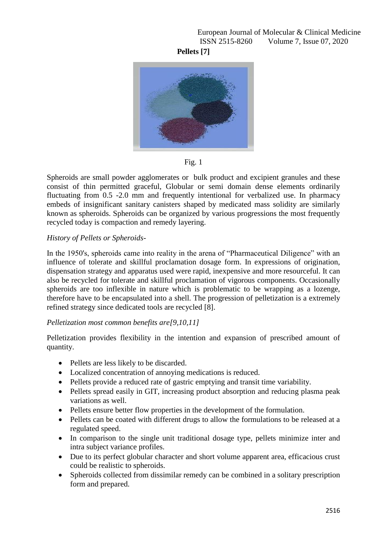**Pellets [7]**



Fig. 1

Spheroids are small powder agglomerates or bulk product and excipient granules and these consist of thin permitted graceful, Globular or semi domain dense elements ordinarily fluctuating from 0.5 -2.0 mm and frequently intentional for verbalized use. In pharmacy embeds of insignificant sanitary canisters shaped by medicated mass solidity are similarly known as spheroids. Spheroids can be organized by various progressions the most frequently recycled today is compaction and remedy layering.

# *History of Pellets or Spheroids-*

In the 1950's, spheroids came into reality in the arena of "Pharmaceutical Diligence" with an influence of tolerate and skillful proclamation dosage form. In expressions of origination, dispensation strategy and apparatus used were rapid, inexpensive and more resourceful. It can also be recycled for tolerate and skillful proclamation of vigorous components. Occasionally spheroids are too inflexible in nature which is problematic to be wrapping as a lozenge, therefore have to be encapsulated into a shell. The progression of pelletization is a extremely refined strategy since dedicated tools are recycled [8].

# *Pelletization most common benefits are[9,10,11]*

Pelletization provides flexibility in the intention and expansion of prescribed amount of quantity.

- Pellets are less likely to be discarded.
- Localized concentration of annoying medications is reduced.
- Pellets provide a reduced rate of gastric emptying and transit time variability.
- Pellets spread easily in GIT, increasing product absorption and reducing plasma peak variations as well.
- Pellets ensure better flow properties in the development of the formulation.
- Pellets can be coated with different drugs to allow the formulations to be released at a regulated speed.
- In comparison to the single unit traditional dosage type, pellets minimize inter and intra subject variance profiles.
- Due to its perfect globular character and short volume apparent area, efficacious crust could be realistic to spheroids.
- Spheroids collected from dissimilar remedy can be combined in a solitary prescription form and prepared.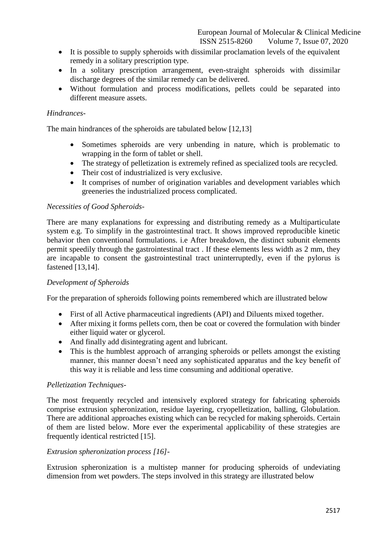- It is possible to supply spheroids with dissimilar proclamation levels of the equivalent remedy in a solitary prescription type.
- In a solitary prescription arrangement, even-straight spheroids with dissimilar discharge degrees of the similar remedy can be delivered.
- Without formulation and process modifications, pellets could be separated into different measure assets.

# *Hindrances-*

The main hindrances of the spheroids are tabulated below [12,13]

- Sometimes spheroids are very unbending in nature, which is problematic to wrapping in the form of tablet or shell.
- The strategy of pelletization is extremely refined as specialized tools are recycled.
- Their cost of industrialized is very exclusive.
- It comprises of number of origination variables and development variables which greeneries the industrialized process complicated.

## *Necessities of Good Spheroids-*

There are many explanations for expressing and distributing remedy as a Multiparticulate system e.g. To simplify in the gastrointestinal tract. It shows improved reproducible kinetic behavior then conventional formulations. i.e After breakdown, the distinct subunit elements permit speedily through the gastrointestinal tract . If these elements less width as 2 mm, they are incapable to consent the gastrointestinal tract uninterruptedly, even if the pylorus is fastened [13,14].

## *Development of Spheroids*

For the preparation of spheroids following points remembered which are illustrated below

- First of all Active pharmaceutical ingredients (API) and Diluents mixed together.
- After mixing it forms pellets corn, then be coat or covered the formulation with binder either liquid water or glycerol.
- And finally add disintegrating agent and lubricant.
- This is the humblest approach of arranging spheroids or pellets amongst the existing manner, this manner doesn't need any sophisticated apparatus and the key benefit of this way it is reliable and less time consuming and additional operative.

## *Pelletization Techniques-*

The most frequently recycled and intensively explored strategy for fabricating spheroids comprise extrusion spheronization, residue layering, cryopelletization, balling, Globulation. There are additional approaches existing which can be recycled for making spheroids. Certain of them are listed below. More ever the experimental applicability of these strategies are frequently identical restricted [15].

## *Extrusion spheronization process [16]-*

Extrusion spheronization is a multistep manner for producing spheroids of undeviating dimension from wet powders. The steps involved in this strategy are illustrated below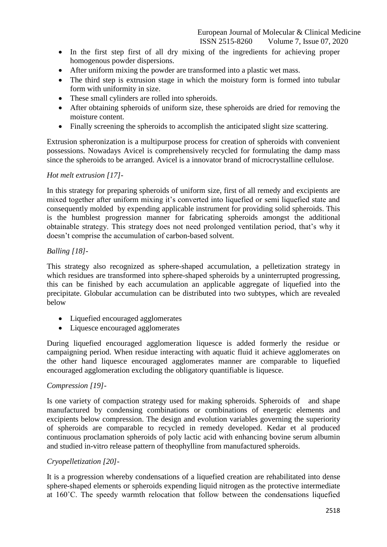- In the first step first of all dry mixing of the ingredients for achieving proper homogenous powder dispersions.
- After uniform mixing the powder are transformed into a plastic wet mass.
- The third step is extrusion stage in which the moistury form is formed into tubular form with uniformity in size.
- These small cylinders are rolled into spheroids.
- After obtaining spheroids of uniform size, these spheroids are dried for removing the moisture content.
- Finally screening the spheroids to accomplish the anticipated slight size scattering.

Extrusion spheronization is a multipurpose process for creation of spheroids with convenient possessions. Nowadays Avicel is comprehensively recycled for formulating the damp mass since the spheroids to be arranged. Avicel is a innovator brand of microcrystalline cellulose.

# *Hot melt extrusion [17]-*

In this strategy for preparing spheroids of uniform size, first of all remedy and excipients are mixed together after uniform mixing it's converted into liquefied or semi liquefied state and consequently molded by expending applicable instrument for providing solid spheroids. This is the humblest progression manner for fabricating spheroids amongst the additional obtainable strategy. This strategy does not need prolonged ventilation period, that's why it doesn't comprise the accumulation of carbon-based solvent.

# *Balling [18]-*

This strategy also recognized as sphere-shaped accumulation, a pelletization strategy in which residues are transformed into sphere-shaped spheroids by a uninterrupted progressing, this can be finished by each accumulation an applicable aggregate of liquefied into the precipitate. Globular accumulation can be distributed into two subtypes, which are revealed below

- Liquefied encouraged agglomerates
- Liquesce encouraged agglomerates

During liquefied encouraged agglomeration liquesce is added formerly the residue or campaigning period. When residue interacting with aquatic fluid it achieve agglomerates on the other hand liquesce encouraged agglomerates manner are comparable to liquefied encouraged agglomeration excluding the obligatory quantifiable is liquesce.

# *Compression [19]-*

Is one variety of compaction strategy used for making spheroids. Spheroids of and shape manufactured by condensing combinations or combinations of energetic elements and excipients below compression. The design and evolution variables governing the superiority of spheroids are comparable to recycled in remedy developed. Kedar et al produced continuous proclamation spheroids of poly lactic acid with enhancing bovine serum albumin and studied in-vitro release pattern of theophylline from manufactured spheroids.

## *Cryopelletization [20]-*

It is a progression whereby condensations of a liquefied creation are rehabilitated into dense sphere-shaped elements or spheroids expending liquid nitrogen as the protective intermediate at 160˚C. The speedy warmth relocation that follow between the condensations liquefied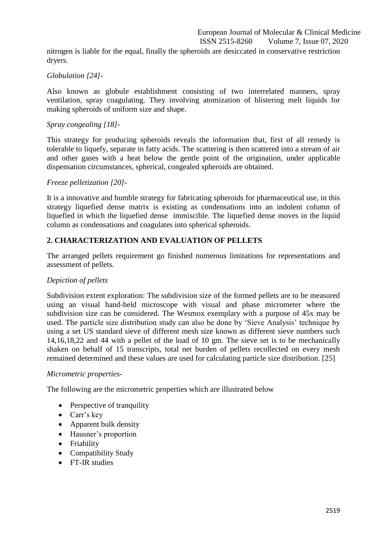nitrogen is liable for the equal, finally the spheroids are desiccated in conservative restriction dryers.

# *Globulation [24]-*

Also known as globule establishment consisting of two interrelated manners, spray ventilation, spray coagulating. They involving atomization of blistering melt liquids for making spheroids of uniform size and shape.

# *Spray congealing [18]-*

This strategy for producing spheroids reveals the information that, first of all remedy is tolerable to liquefy, separate in fatty acids. The scattering is then scattered into a stream of air and other gases with a heat below the gentle point of the origination, under applicable dispensation circumstances, spherical, congealed spheroids are obtained.

## *Freeze pelletization [20]-*

It is a innovative and humble strategy for fabricating spheroids for pharmaceutical use, in this strategy liquefied dense matrix is existing as condensations into an indolent column of liquefied in which the liquefied dense immiscible. The liquefied dense moves in the liquid column as condensations and coagulates into spherical spheroids.

# **2. CHARACTERIZATION AND EVALUATION OF PELLETS**

The arranged pellets requirement go finished numerous limitations for representations and assessment of pellets.

## *Depiction of pellets*

Subdivision extent exploration: The subdivision size of the formed pellets are to be measured using an visual hand-held microscope with visual and phase micrometer where the subdivision size can be considered. The Wesmox exemplary with a purpose of 45x may be used. The particle size distribution study can also be done by 'Sieve Analysis' technique by using a set US standard sieve of different mesh size known as different sieve numbers such 14,16,18,22 and 44 with a pellet of the load of 10 gm. The sieve set is to be mechanically shaken on behalf of 15 transcripts, total net burden of pellets recollected on every mesh remained determined and these values are used for calculating particle size distribution. [25]

## *Micrometric properties-*

The following are the micrometric properties which are illustrated below

- Perspective of tranquility
- Carr's key
- Apparent bulk density
- Hausner's proportion
- Friability
- Compatibility Study
- FT-IR studies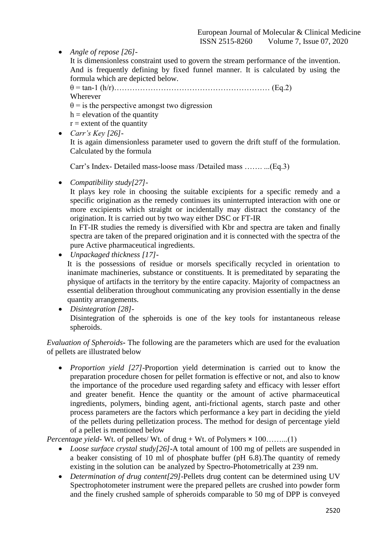*Angle of repose [26]-*

It is dimensionless constraint used to govern the stream performance of the invention. And is frequently defining by fixed funnel manner. It is calculated by using the formula which are depicted below.

θ = tan-1 (h/r)…………………………………………………… (Eq.2)

Wherever

 $\theta$  = is the perspective amongst two digression

 $h =$  elevation of the quantity

 $r =$  extent of the quantity

 *Carr's Key [26]-* It is again dimensionless parameter used to govern the drift stuff of the formulation. Calculated by the formula

Carr's Index- Detailed mass-loose mass /Detailed mass ……. ...(Eq.3)

*Compatibility study[27]-*

It plays key role in choosing the suitable excipients for a specific remedy and a specific origination as the remedy continues its uninterrupted interaction with one or more excipients which straight or incidentally may distract the constancy of the origination. It is carried out by two way either DSC or FT-IR

In FT-IR studies the remedy is diversified with Kbr and spectra are taken and finally spectra are taken of the prepared origination and it is connected with the spectra of the pure Active pharmaceutical ingredients.

*Unpackaged thickness [17]-*

It is the possessions of residue or morsels specifically recycled in orientation to inanimate machineries, substance or constituents. It is premeditated by separating the physique of artifacts in the territory by the entire capacity. Majority of compactness an essential deliberation throughout communicating any provision essentially in the dense quantity arrangements.

 *Disintegration [28]-* Disintegration of the spheroids is one of the key tools for instantaneous release spheroids.

*Evaluation of Spheroids***-** The following are the parameters which are used for the evaluation of pellets are illustrated below

 *Proportion yield [27]-*Proportion yield determination is carried out to know the preparation procedure chosen for pellet formation is effective or not, and also to know the importance of the procedure used regarding safety and efficacy with lesser effort and greater benefit. Hence the quantity or the amount of active pharmaceutical ingredients, polymers, binding agent, anti-frictional agents, starch paste and other process parameters are the factors which performance a key part in deciding the yield of the pellets during pelletization process. The method for design of percentage yield of a pellet is mentioned below

*Percentage yield***-** Wt. of pellets/ Wt. of drug + Wt. of Polymers **×** 100……...(1)

- *Loose surface crystal study[26]***-**A total amount of 100 mg of pellets are suspended in a beaker consisting of 10 ml of phosphate buffer (pH 6.8).The quantity of remedy existing in the solution can be analyzed by Spectro-Photometrically at 239 nm.
- *Determination of drug content[29]-*Pellets drug content can be determined using UV Spectrophotometer instrument were the prepared pellets are crushed into powder form and the finely crushed sample of spheroids comparable to 50 mg of DPP is conveyed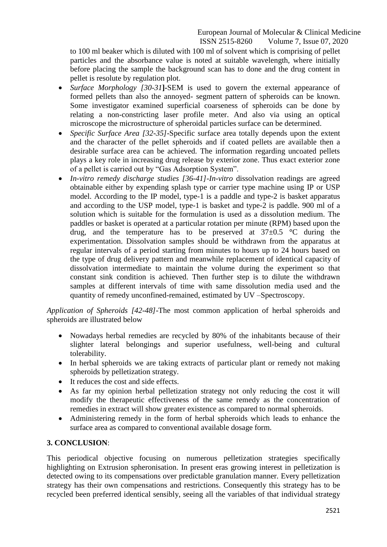to 100 ml beaker which is diluted with 100 ml of solvent which is comprising of pellet particles and the absorbance value is noted at suitable wavelength, where initially before placing the sample the background scan has to done and the drug content in pellet is resolute by regulation plot.

- *Surface Morphology [30-31***]-**SEM is used to govern the external appearance of formed pellets than also the annoyed- segment pattern of spheroids can be known. Some investigator examined superficial coarseness of spheroids can be done by relating a non-constricting laser profile meter. And also via using an optical microscope the microstructure of spheroidal particles surface can be determined.
- *Specific Surface Area [32-35]-*Specific surface area totally depends upon the extent and the character of the pellet spheroids and if coated pellets are available then a desirable surface area can be achieved. The information regarding uncoated pellets plays a key role in increasing drug release by exterior zone. Thus exact exterior zone of a pellet is carried out by "Gas Adsorption System".
- *In-vitro remedy discharge studies [36-41]-In-vitro* dissolvation readings are agreed obtainable either by expending splash type or carrier type machine using IP or USP model. According to the IP model, type-1 is a paddle and type-2 is basket apparatus and according to the USP model, type-1 is basket and type-2 is paddle. 900 ml of a solution which is suitable for the formulation is used as a dissolution medium. The paddles or basket is operated at a particular rotation per minute (RPM) based upon the drug, and the temperature has to be preserved at 37±0.5 **°**C during the experimentation. Dissolvation samples should be withdrawn from the apparatus at regular intervals of a period starting from minutes to hours up to 24 hours based on the type of drug delivery pattern and meanwhile replacement of identical capacity of dissolvation intermediate to maintain the volume during the experiment so that constant sink condition is achieved. Then further step is to dilute the withdrawn samples at different intervals of time with same dissolution media used and the quantity of remedy unconfined-remained, estimated by UV –Spectroscopy.

*Application of Spheroids [42-48]-*The most common application of herbal spheroids and spheroids are illustrated below

- Nowadays herbal remedies are recycled by 80% of the inhabitants because of their slighter lateral belongings and superior usefulness, well-being and cultural tolerability.
- In herbal spheroids we are taking extracts of particular plant or remedy not making spheroids by pelletization strategy.
- It reduces the cost and side effects.
- As far my opinion herbal pelletization strategy not only reducing the cost it will modify the therapeutic effectiveness of the same remedy as the concentration of remedies in extract will show greater existence as compared to normal spheroids.
- Administering remedy in the form of herbal spheroids which leads to enhance the surface area as compared to conventional available dosage form.

# **3. CONCLUSION**:

This periodical objective focusing on numerous pelletization strategies specifically highlighting on Extrusion spheronisation. In present eras growing interest in pelletization is detected owing to its compensations over predictable granulation manner. Every pelletization strategy has their own compensations and restrictions. Consequently this strategy has to be recycled been preferred identical sensibly, seeing all the variables of that individual strategy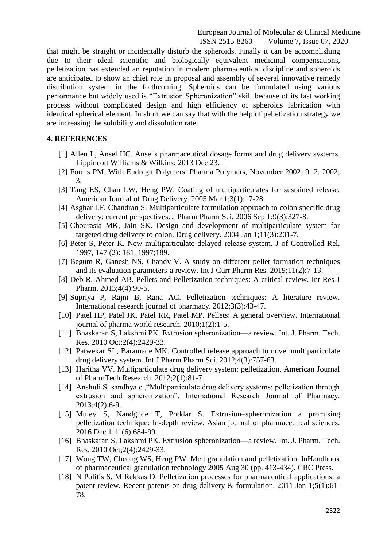European Journal of Molecular & Clinical Medicine ISSN 2515-8260 Volume 7, Issue 07, 2020

that might be straight or incidentally disturb the spheroids. Finally it can be accomplishing due to their ideal scientific and biologically equivalent medicinal compensations, pelletization has extended an reputation in modern pharmaceutical discipline and spheroids are anticipated to show an chief role in proposal and assembly of several innovative remedy distribution system in the forthcoming. Spheroids can be formulated using various performance but widely used is "Extrusion Spheronization" skill because of its fast working process without complicated design and high efficiency of spheroids fabrication with identical spherical element. In short we can say that with the help of pelletization strategy we are increasing the solubility and dissolution rate.

#### **4. REFERENCES**

- [1] Allen L, Ansel HC. Ansel's pharmaceutical dosage forms and drug delivery systems. Lippincott Williams & Wilkins; 2013 Dec 23.
- [2] Forms PM. With Eudragit Polymers. Pharma Polymers, November 2002, 9: 2. 2002; 3.
- [3] Tang ES, Chan LW, Heng PW. Coating of multiparticulates for sustained release. American Journal of Drug Delivery. 2005 Mar 1;3(1):17-28.
- [4] Asghar LF, Chandran S. Multiparticulate formulation approach to colon specific drug delivery: current perspectives. J Pharm Pharm Sci. 2006 Sep 1;9(3):327-8.
- [5] Chourasia MK, Jain SK. Design and development of multiparticulate system for targeted drug delivery to colon. Drug delivery. 2004 Jan 1;11(3):201-7.
- [6] Peter S, Peter K. New multiparticulate delayed release system. J of Controlled Rel, 1997, 147 (2): 181. 1997;189.
- [7] Begum R, Ganesh NS, Chandy V. A study on different pellet formation techniques and its evaluation parameters-a review. Int J Curr Pharm Res. 2019;11(2):7-13.
- [8] Deb R, Ahmed AB. Pellets and Pelletization techniques: A critical review. Int Res J Pharm. 2013;4(4):90-5.
- [9] Supriya P, Rajni B, Rana AC. Pelletization techniques: A literature review. International research journal of pharmacy. 2012;3(3):43-47.
- [10] Patel HP, Patel JK, Patel RR, Patel MP. Pellets: A general overview. International journal of pharma world research. 2010;1(2):1-5.
- [11] Bhaskaran S, Lakshmi PK. Extrusion spheronization—a review. Int. J. Pharm. Tech. Res. 2010 Oct;2(4):2429-33.
- [12] Patwekar SL, Baramade MK. Controlled release approach to novel multiparticulate drug delivery system. Int J Pharm Pharm Sci. 2012;4(3):757-63.
- [13] Haritha VV. Multiparticulate drug delivery system: pelletization. American Journal of PharmTech Research. 2012;2(1):81-7.
- [14] Anshuli S. sandhya c., "Multiparticulate drug delivery systems: pelletization through extrusion and spheronization". International Research Journal of Pharmacy. 2013;4(2):6-9.
- [15] Muley S, Nandgude T, Poddar S. Extrusion–spheronization a promising pelletization technique: In-depth review. Asian journal of pharmaceutical sciences. 2016 Dec 1;11(6):684-99.
- [16] Bhaskaran S, Lakshmi PK. Extrusion spheronization—a review. Int. J. Pharm. Tech. Res. 2010 Oct;2(4):2429-33.
- [17] Wong TW, Cheong WS, Heng PW. Melt granulation and pelletization. InHandbook of pharmaceutical granulation technology 2005 Aug 30 (pp. 413-434). CRC Press.
- [18] N Politis S, M Rekkas D. Pelletization processes for pharmaceutical applications: a patent review. Recent patents on drug delivery & formulation. 2011 Jan 1;5(1):61- 78.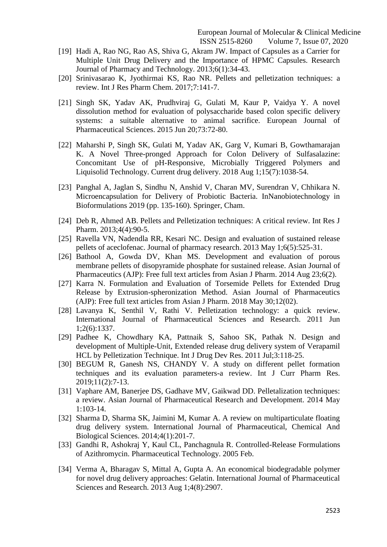- [19] Hadi A, Rao NG, Rao AS, Shiva G, Akram JW. Impact of Capsules as a Carrier for Multiple Unit Drug Delivery and the Importance of HPMC Capsules. Research Journal of Pharmacy and Technology. 2013;6(1):34-43.
- [20] Srinivasarao K, Jyothirmai KS, Rao NR. Pellets and pelletization techniques: a review. Int J Res Pharm Chem. 2017;7:141-7.
- [21] Singh SK, Yadav AK, Prudhviraj G, Gulati M, Kaur P, Vaidya Y. A novel dissolution method for evaluation of polysaccharide based colon specific delivery systems: a suitable alternative to animal sacrifice. European Journal of Pharmaceutical Sciences. 2015 Jun 20;73:72-80.
- [22] Maharshi P, Singh SK, Gulati M, Yadav AK, Garg V, Kumari B, Gowthamarajan K. A Novel Three-pronged Approach for Colon Delivery of Sulfasalazine: Concomitant Use of pH-Responsive, Microbially Triggered Polymers and Liquisolid Technology. Current drug delivery. 2018 Aug 1;15(7):1038-54.
- [23] Panghal A, Jaglan S, Sindhu N, Anshid V, Charan MV, Surendran V, Chhikara N. Microencapsulation for Delivery of Probiotic Bacteria. InNanobiotechnology in Bioformulations 2019 (pp. 135-160). Springer, Cham.
- [24] Deb R, Ahmed AB. Pellets and Pelletization techniques: A critical review. Int Res J Pharm. 2013;4(4):90-5.
- [25] Ravella VN, Nadendla RR, Kesari NC. Design and evaluation of sustained release pellets of aceclofenac. Journal of pharmacy research. 2013 May 1;6(5):525-31.
- [26] Bathool A, Gowda DV, Khan MS. Development and evaluation of porous membrane pellets of disopyramide phosphate for sustained release. Asian Journal of Pharmaceutics (AJP): Free full text articles from Asian J Pharm. 2014 Aug 23;6(2).
- [27] Karra N. Formulation and Evaluation of Torsemide Pellets for Extended Drug Release by Extrusion-spheronization Method. Asian Journal of Pharmaceutics (AJP): Free full text articles from Asian J Pharm. 2018 May 30;12(02).
- [28] Lavanya K, Senthil V, Rathi V. Pelletization technology: a quick review. International Journal of Pharmaceutical Sciences and Research. 2011 Jun 1;2(6):1337.
- [29] Padhee K, Chowdhary KA, Pattnaik S, Sahoo SK, Pathak N. Design and development of Multiple-Unit, Extended release drug delivery system of Verapamil HCL by Pelletization Technique. Int J Drug Dev Res. 2011 Jul;3:118-25.
- [30] BEGUM R, Ganesh NS, CHANDY V. A study on different pellet formation techniques and its evaluation parameters-a review. Int J Curr Pharm Res. 2019;11(2):7-13.
- [31] Vaphare AM, Banerjee DS, Gadhave MV, Gaikwad DD. Pelletalization techniques: a review. Asian Journal of Pharmaceutical Research and Development. 2014 May 1:103-14.
- [32] Sharma D, Sharma SK, Jaimini M, Kumar A. A review on multiparticulate floating drug delivery system. International Journal of Pharmaceutical, Chemical And Biological Sciences. 2014;4(1):201-7.
- [33] Gandhi R, Ashokraj Y, Kaul CL, Panchagnula R. Controlled-Release Formulations of Azithromycin. Pharmaceutical Technology. 2005 Feb.
- [34] Verma A, Bharagav S, Mittal A, Gupta A. An economical biodegradable polymer for novel drug delivery approaches: Gelatin. International Journal of Pharmaceutical Sciences and Research. 2013 Aug 1;4(8):2907.